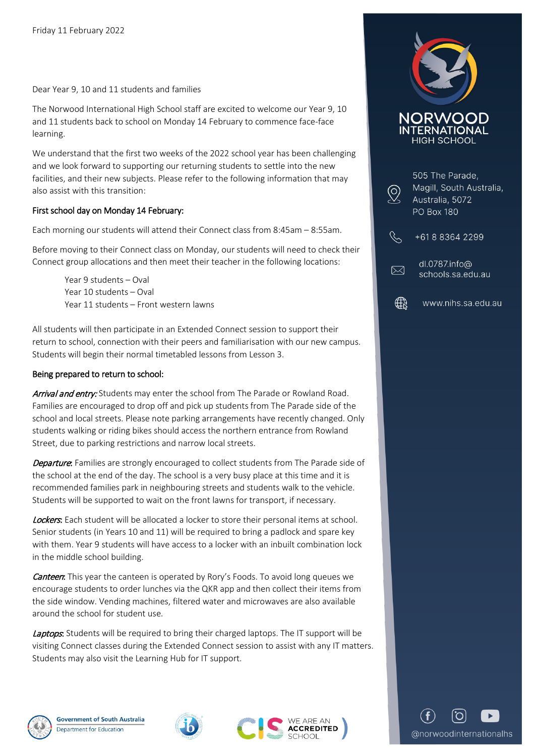Dear Year 9, 10 and 11 students and families

The Norwood International High School staff are excited to welcome our Year 9, 10 and 11 students back to school on Monday 14 February to commence face-face learning.

We understand that the first two weeks of the 2022 school year has been challenging and we look forward to supporting our returning students to settle into the new facilities, and their new subjects. Please refer to the following information that may also assist with this transition:

## First school day on Monday 14 February:

Each morning our students will attend their Connect class from 8:45am – 8:55am.

Before moving to their Connect class on Monday, our students will need to check their Connect group allocations and then meet their teacher in the following locations:

Year 9 students – Oval Year 10 students – Oval Year 11 students – Front western lawns

All students will then participate in an Extended Connect session to support their return to school, connection with their peers and familiarisation with our new campus. Students will begin their normal timetabled lessons from Lesson 3.

## Being prepared to return to school:

Arrival and entry: Students may enter the school from The Parade or Rowland Road. Families are encouraged to drop off and pick up students from The Parade side of the school and local streets. Please note parking arrangements have recently changed. Only students walking or riding bikes should access the northern entrance from Rowland Street, due to parking restrictions and narrow local streets.

**Departure:** Families are strongly encouraged to collect students from The Parade side of the school at the end of the day. The school is a very busy place at this time and it is recommended families park in neighbouring streets and students walk to the vehicle. Students will be supported to wait on the front lawns for transport, if necessary.

Lockers. Each student will be allocated a locker to store their personal items at school. Senior students (in Years 10 and 11) will be required to bring a padlock and spare key with them. Year 9 students will have access to a locker with an inbuilt combination lock in the middle school building.

**Canteen:** This year the canteen is operated by Rory's Foods. To avoid long queues we encourage students to order lunches via the QKR app and then collect their items from the side window. Vending machines, filtered water and microwaves are also available around the school for student use.

Laptops: Students will be required to bring their charged laptops. The IT support will be visiting Connect classes during the Extended Connect session to assist with any IT matters. Students may also visit the Learning Hub for IT support.









| 505 The Parade,<br>Magill, South Australia,<br>Australia, 5072<br>PO Box 180 |
|------------------------------------------------------------------------------|
| +61883642299                                                                 |
| dl.0787.info@<br>schools.sa.edu.au                                           |
| www.nihs.sa.edu.au                                                           |

@norwoodinternationalhs